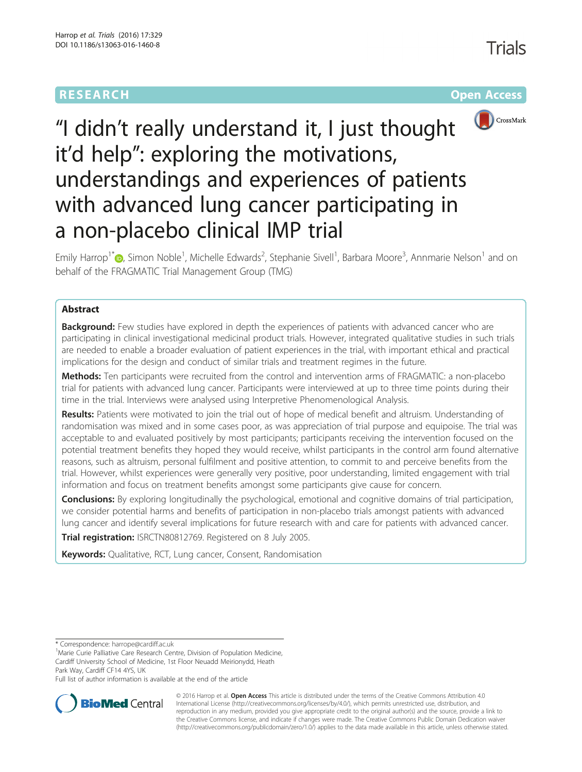# **RESEARCH CHE Open Access**



# "I didn't really understand it, I just thought it'd help": exploring the motivations, understandings and experiences of patients with advanced lung cancer participating in a non-placebo clinical IMP trial

Emily Harrop<sup>1[\\*](http://orcid.org/0000-0003-2820-0023)</sup>®, Simon Noble<sup>1</sup>, Michelle Edwards<sup>2</sup>, Stephanie Sivell<sup>1</sup>, Barbara Moore<sup>3</sup>, Annmarie Nelson<sup>1</sup> and on behalf of the FRAGMATIC Trial Management Group (TMG)

### Abstract

**Background:** Few studies have explored in depth the experiences of patients with advanced cancer who are participating in clinical investigational medicinal product trials. However, integrated qualitative studies in such trials are needed to enable a broader evaluation of patient experiences in the trial, with important ethical and practical implications for the design and conduct of similar trials and treatment regimes in the future.

Methods: Ten participants were recruited from the control and intervention arms of FRAGMATIC: a non-placebo trial for patients with advanced lung cancer. Participants were interviewed at up to three time points during their time in the trial. Interviews were analysed using Interpretive Phenomenological Analysis.

Results: Patients were motivated to join the trial out of hope of medical benefit and altruism. Understanding of randomisation was mixed and in some cases poor, as was appreciation of trial purpose and equipoise. The trial was acceptable to and evaluated positively by most participants; participants receiving the intervention focused on the potential treatment benefits they hoped they would receive, whilst participants in the control arm found alternative reasons, such as altruism, personal fulfilment and positive attention, to commit to and perceive benefits from the trial. However, whilst experiences were generally very positive, poor understanding, limited engagement with trial information and focus on treatment benefits amongst some participants give cause for concern.

**Conclusions:** By exploring longitudinally the psychological, emotional and cognitive domains of trial participation, we consider potential harms and benefits of participation in non-placebo trials amongst patients with advanced lung cancer and identify several implications for future research with and care for patients with advanced cancer.

Trial registration: [ISRCTN80812769](http://www.isrctn.com/ISRCTN80812769). Registered on 8 July 2005.

**Keywords:** Qualitative, RCT, Lung cancer, Consent, Randomisation

\* Correspondence: [harrope@cardiff.ac.uk](mailto:harrope@cardiff.ac.uk) <sup>1</sup>

<sup>1</sup> Marie Curie Palliative Care Research Centre, Division of Population Medicine, Cardiff University School of Medicine, 1st Floor Neuadd Meirionydd, Heath Park Way, Cardiff CF14 4YS, UK

Full list of author information is available at the end of the article



© 2016 Harrop et al. Open Access This article is distributed under the terms of the Creative Commons Attribution 4.0 International License [\(http://creativecommons.org/licenses/by/4.0/](http://creativecommons.org/licenses/by/4.0/)), which permits unrestricted use, distribution, and reproduction in any medium, provided you give appropriate credit to the original author(s) and the source, provide a link to the Creative Commons license, and indicate if changes were made. The Creative Commons Public Domain Dedication waiver [\(http://creativecommons.org/publicdomain/zero/1.0/](http://creativecommons.org/publicdomain/zero/1.0/)) applies to the data made available in this article, unless otherwise stated.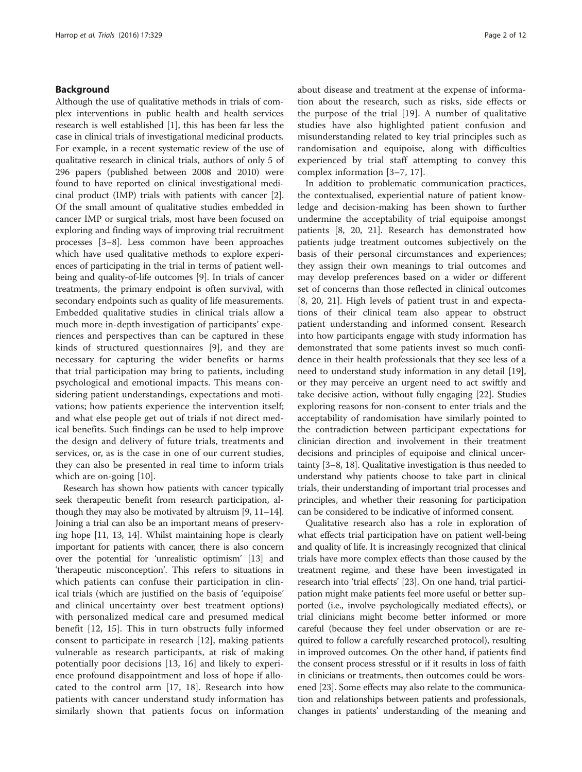#### Background

Although the use of qualitative methods in trials of complex interventions in public health and health services research is well established [\[1](#page-10-0)], this has been far less the case in clinical trials of investigational medicinal products. For example, in a recent systematic review of the use of qualitative research in clinical trials, authors of only 5 of 296 papers (published between 2008 and 2010) were found to have reported on clinical investigational medicinal product (IMP) trials with patients with cancer [\[2](#page-10-0)]. Of the small amount of qualitative studies embedded in cancer IMP or surgical trials, most have been focused on exploring and finding ways of improving trial recruitment processes [[3](#page-10-0)–[8](#page-10-0)]. Less common have been approaches which have used qualitative methods to explore experiences of participating in the trial in terms of patient wellbeing and quality-of-life outcomes [[9\]](#page-10-0). In trials of cancer treatments, the primary endpoint is often survival, with secondary endpoints such as quality of life measurements. Embedded qualitative studies in clinical trials allow a much more in-depth investigation of participants' experiences and perspectives than can be captured in these kinds of structured questionnaires [[9](#page-10-0)], and they are necessary for capturing the wider benefits or harms that trial participation may bring to patients, including psychological and emotional impacts. This means considering patient understandings, expectations and motivations; how patients experience the intervention itself; and what else people get out of trials if not direct medical benefits. Such findings can be used to help improve the design and delivery of future trials, treatments and services, or, as is the case in one of our current studies, they can also be presented in real time to inform trials which are on-going [[10\]](#page-10-0).

Research has shown how patients with cancer typically seek therapeutic benefit from research participation, although they may also be motivated by altruism [[9](#page-10-0), [11](#page-10-0)–[14](#page-10-0)]. Joining a trial can also be an important means of preserving hope [\[11](#page-10-0), [13, 14](#page-10-0)]. Whilst maintaining hope is clearly important for patients with cancer, there is also concern over the potential for 'unrealistic optimism' [[13](#page-10-0)] and 'therapeutic misconception'. This refers to situations in which patients can confuse their participation in clinical trials (which are justified on the basis of 'equipoise' and clinical uncertainty over best treatment options) with personalized medical care and presumed medical benefit [[12, 15\]](#page-10-0). This in turn obstructs fully informed consent to participate in research [[12\]](#page-10-0), making patients vulnerable as research participants, at risk of making potentially poor decisions [\[13](#page-10-0), [16](#page-10-0)] and likely to experience profound disappointment and loss of hope if allocated to the control arm [\[17](#page-10-0), [18](#page-10-0)]. Research into how patients with cancer understand study information has similarly shown that patients focus on information about disease and treatment at the expense of information about the research, such as risks, side effects or the purpose of the trial [[19\]](#page-10-0). A number of qualitative studies have also highlighted patient confusion and misunderstanding related to key trial principles such as randomisation and equipoise, along with difficulties experienced by trial staff attempting to convey this complex information [[3](#page-10-0)–[7, 17\]](#page-10-0).

In addition to problematic communication practices, the contextualised, experiential nature of patient knowledge and decision-making has been shown to further undermine the acceptability of trial equipoise amongst patients [[8, 20, 21](#page-10-0)]. Research has demonstrated how patients judge treatment outcomes subjectively on the basis of their personal circumstances and experiences; they assign their own meanings to trial outcomes and may develop preferences based on a wider or different set of concerns than those reflected in clinical outcomes [[8, 20, 21\]](#page-10-0). High levels of patient trust in and expectations of their clinical team also appear to obstruct patient understanding and informed consent. Research into how participants engage with study information has demonstrated that some patients invest so much confidence in their health professionals that they see less of a need to understand study information in any detail [\[19](#page-10-0)], or they may perceive an urgent need to act swiftly and take decisive action, without fully engaging [\[22](#page-10-0)]. Studies exploring reasons for non-consent to enter trials and the acceptability of randomisation have similarly pointed to the contradiction between participant expectations for clinician direction and involvement in their treatment decisions and principles of equipoise and clinical uncertainty [\[3](#page-10-0)–[8, 18\]](#page-10-0). Qualitative investigation is thus needed to understand why patients choose to take part in clinical trials, their understanding of important trial processes and principles, and whether their reasoning for participation can be considered to be indicative of informed consent.

Qualitative research also has a role in exploration of what effects trial participation have on patient well-being and quality of life. It is increasingly recognized that clinical trials have more complex effects than those caused by the treatment regime, and these have been investigated in research into 'trial effects' [\[23\]](#page-10-0). On one hand, trial participation might make patients feel more useful or better supported (i.e., involve psychologically mediated effects), or trial clinicians might become better informed or more careful (because they feel under observation or are required to follow a carefully researched protocol), resulting in improved outcomes. On the other hand, if patients find the consent process stressful or if it results in loss of faith in clinicians or treatments, then outcomes could be worsened [\[23](#page-10-0)]. Some effects may also relate to the communication and relationships between patients and professionals, changes in patients' understanding of the meaning and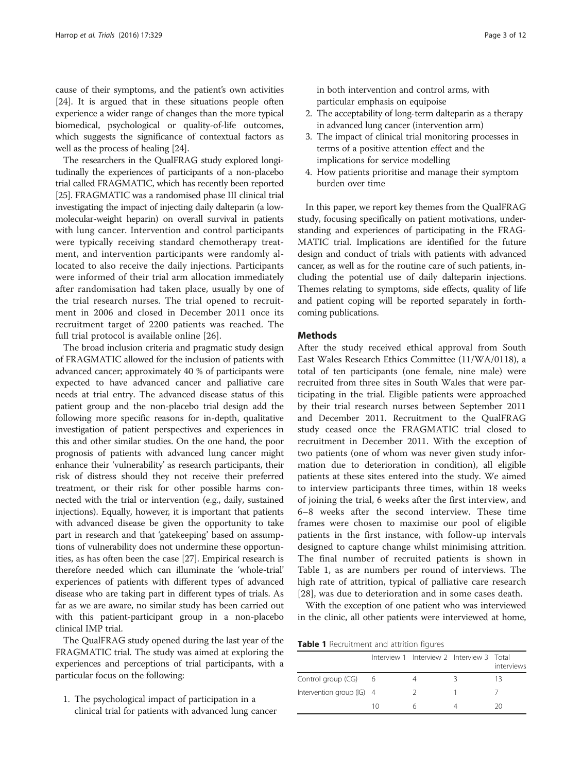cause of their symptoms, and the patient's own activities [[24](#page-10-0)]. It is argued that in these situations people often experience a wider range of changes than the more typical biomedical, psychological or quality-of-life outcomes, which suggests the significance of contextual factors as well as the process of healing [[24](#page-10-0)].

The researchers in the QualFRAG study explored longitudinally the experiences of participants of a non-placebo trial called FRAGMATIC, which has recently been reported [[25](#page-10-0)]. FRAGMATIC was a randomised phase III clinical trial investigating the impact of injecting daily dalteparin (a lowmolecular-weight heparin) on overall survival in patients with lung cancer. Intervention and control participants were typically receiving standard chemotherapy treatment, and intervention participants were randomly allocated to also receive the daily injections. Participants were informed of their trial arm allocation immediately after randomisation had taken place, usually by one of the trial research nurses. The trial opened to recruitment in 2006 and closed in December 2011 once its recruitment target of 2200 patients was reached. The full trial protocol is available online [\[26](#page-10-0)].

The broad inclusion criteria and pragmatic study design of FRAGMATIC allowed for the inclusion of patients with advanced cancer; approximately 40 % of participants were expected to have advanced cancer and palliative care needs at trial entry. The advanced disease status of this patient group and the non-placebo trial design add the following more specific reasons for in-depth, qualitative investigation of patient perspectives and experiences in this and other similar studies. On the one hand, the poor prognosis of patients with advanced lung cancer might enhance their 'vulnerability' as research participants, their risk of distress should they not receive their preferred treatment, or their risk for other possible harms connected with the trial or intervention (e.g., daily, sustained injections). Equally, however, it is important that patients with advanced disease be given the opportunity to take part in research and that 'gatekeeping' based on assumptions of vulnerability does not undermine these opportunities, as has often been the case [\[27\]](#page-10-0). Empirical research is therefore needed which can illuminate the 'whole-trial' experiences of patients with different types of advanced disease who are taking part in different types of trials. As far as we are aware, no similar study has been carried out with this patient-participant group in a non-placebo clinical IMP trial.

The QualFRAG study opened during the last year of the FRAGMATIC trial. The study was aimed at exploring the experiences and perceptions of trial participants, with a particular focus on the following:

1. The psychological impact of participation in a clinical trial for patients with advanced lung cancer in both intervention and control arms, with particular emphasis on equipoise

- 2. The acceptability of long-term dalteparin as a therapy in advanced lung cancer (intervention arm)
- 3. The impact of clinical trial monitoring processes in terms of a positive attention effect and the implications for service modelling
- 4. How patients prioritise and manage their symptom burden over time

In this paper, we report key themes from the QualFRAG study, focusing specifically on patient motivations, understanding and experiences of participating in the FRAG-MATIC trial. Implications are identified for the future design and conduct of trials with patients with advanced cancer, as well as for the routine care of such patients, including the potential use of daily dalteparin injections. Themes relating to symptoms, side effects, quality of life and patient coping will be reported separately in forthcoming publications.

#### **Methods**

After the study received ethical approval from South East Wales Research Ethics Committee (11/WA/0118), a total of ten participants (one female, nine male) were recruited from three sites in South Wales that were participating in the trial. Eligible patients were approached by their trial research nurses between September 2011 and December 2011. Recruitment to the QualFRAG study ceased once the FRAGMATIC trial closed to recruitment in December 2011. With the exception of two patients (one of whom was never given study information due to deterioration in condition), all eligible patients at these sites entered into the study. We aimed to interview participants three times, within 18 weeks of joining the trial, 6 weeks after the first interview, and 6–8 weeks after the second interview. These time frames were chosen to maximise our pool of eligible patients in the first instance, with follow-up intervals designed to capture change whilst minimising attrition. The final number of recruited patients is shown in Table 1, as are numbers per round of interviews. The high rate of attrition, typical of palliative care research [[28\]](#page-10-0), was due to deterioration and in some cases death.

With the exception of one patient who was interviewed in the clinic, all other patients were interviewed at home,

Table 1 Recruitment and attrition figures

|                           |    | Interview 1 Interview 2 Interview 3 Total | interviews |
|---------------------------|----|-------------------------------------------|------------|
| Control group (CG)        | -6 |                                           | 13         |
| Intervention group (IG) 4 |    | 2                                         |            |
|                           | 10 | h                                         | 20         |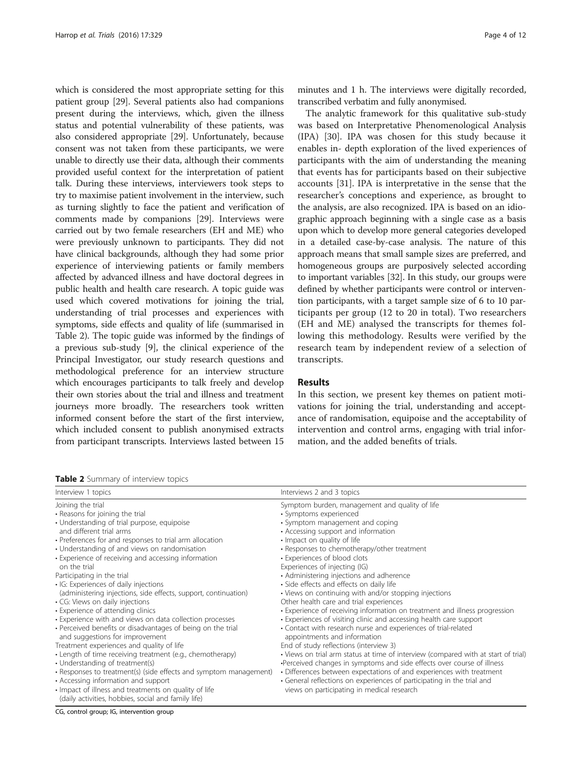which is considered the most appropriate setting for this patient group [\[29](#page-10-0)]. Several patients also had companions present during the interviews, which, given the illness status and potential vulnerability of these patients, was also considered appropriate [[29](#page-10-0)]. Unfortunately, because consent was not taken from these participants, we were unable to directly use their data, although their comments provided useful context for the interpretation of patient talk. During these interviews, interviewers took steps to try to maximise patient involvement in the interview, such as turning slightly to face the patient and verification of comments made by companions [\[29\]](#page-10-0). Interviews were carried out by two female researchers (EH and ME) who were previously unknown to participants. They did not have clinical backgrounds, although they had some prior experience of interviewing patients or family members affected by advanced illness and have doctoral degrees in public health and health care research. A topic guide was used which covered motivations for joining the trial, understanding of trial processes and experiences with symptoms, side effects and quality of life (summarised in Table 2). The topic guide was informed by the findings of a previous sub-study [[9\]](#page-10-0), the clinical experience of the Principal Investigator, our study research questions and methodological preference for an interview structure which encourages participants to talk freely and develop their own stories about the trial and illness and treatment journeys more broadly. The researchers took written informed consent before the start of the first interview, which included consent to publish anonymised extracts from participant transcripts. Interviews lasted between 15

Table 2 Summary of interview topics

minutes and 1 h. The interviews were digitally recorded, transcribed verbatim and fully anonymised.

The analytic framework for this qualitative sub-study was based on Interpretative Phenomenological Analysis (IPA) [[30\]](#page-10-0). IPA was chosen for this study because it enables in- depth exploration of the lived experiences of participants with the aim of understanding the meaning that events has for participants based on their subjective accounts [[31](#page-10-0)]. IPA is interpretative in the sense that the researcher's conceptions and experience, as brought to the analysis, are also recognized. IPA is based on an idiographic approach beginning with a single case as a basis upon which to develop more general categories developed in a detailed case-by-case analysis. The nature of this approach means that small sample sizes are preferred, and homogeneous groups are purposively selected according to important variables [\[32](#page-10-0)]. In this study, our groups were defined by whether participants were control or intervention participants, with a target sample size of 6 to 10 participants per group (12 to 20 in total). Two researchers (EH and ME) analysed the transcripts for themes following this methodology. Results were verified by the research team by independent review of a selection of transcripts.

#### Results

In this section, we present key themes on patient motivations for joining the trial, understanding and acceptance of randomisation, equipoise and the acceptability of intervention and control arms, engaging with trial information, and the added benefits of trials.

|                                                                                                                                                                                                                                                                                                                                                                                                                                                                                                                                                                                                                                                                                                                                                                                                                                                                                                                                                                                                                                                                             | <b>TUNIC E</b> SUITINGLY OF INTERVIEW LODIES                                                                                                                                                                                                                                                                                                                                                                                                                                                                                                                                                                                                                                                                                                                                                                                                                                                                                                                                                                                                                                                                                                                  |  |  |  |
|-----------------------------------------------------------------------------------------------------------------------------------------------------------------------------------------------------------------------------------------------------------------------------------------------------------------------------------------------------------------------------------------------------------------------------------------------------------------------------------------------------------------------------------------------------------------------------------------------------------------------------------------------------------------------------------------------------------------------------------------------------------------------------------------------------------------------------------------------------------------------------------------------------------------------------------------------------------------------------------------------------------------------------------------------------------------------------|---------------------------------------------------------------------------------------------------------------------------------------------------------------------------------------------------------------------------------------------------------------------------------------------------------------------------------------------------------------------------------------------------------------------------------------------------------------------------------------------------------------------------------------------------------------------------------------------------------------------------------------------------------------------------------------------------------------------------------------------------------------------------------------------------------------------------------------------------------------------------------------------------------------------------------------------------------------------------------------------------------------------------------------------------------------------------------------------------------------------------------------------------------------|--|--|--|
| Interview 1 topics                                                                                                                                                                                                                                                                                                                                                                                                                                                                                                                                                                                                                                                                                                                                                                                                                                                                                                                                                                                                                                                          | Interviews 2 and 3 topics                                                                                                                                                                                                                                                                                                                                                                                                                                                                                                                                                                                                                                                                                                                                                                                                                                                                                                                                                                                                                                                                                                                                     |  |  |  |
| Joining the trial<br>• Reasons for joining the trial<br>• Understanding of trial purpose, equipoise<br>and different trial arms<br>• Preferences for and responses to trial arm allocation<br>• Understanding of and views on randomisation<br>• Experience of receiving and accessing information<br>on the trial<br>Participating in the trial<br>· IG: Experiences of daily injections<br>(administering injections, side effects, support, continuation)<br>• CG: Views on daily injections<br>• Experience of attending clinics<br>• Experience with and views on data collection processes<br>• Perceived benefits or disadvantages of being on the trial<br>and suggestions for improvement<br>Treatment experiences and quality of life<br>• Length of time receiving treatment (e.g., chemotherapy)<br>• Understanding of treatment(s)<br>• Responses to treatment(s) (side effects and symptom management)<br>• Accessing information and support<br>• Impact of illness and treatments on quality of life<br>(daily activities, hobbies, social and family life) | Symptom burden, management and quality of life<br>• Symptoms experienced<br>• Symptom management and coping<br>• Accessing support and information<br>• Impact on quality of life<br>• Responses to chemotherapy/other treatment<br>• Experiences of blood clots<br>Experiences of injecting (IG)<br>• Administering injections and adherence<br>• Side effects and effects on daily life<br>• Views on continuing with and/or stopping injections<br>Other health care and trial experiences<br>• Experience of receiving information on treatment and illness progression<br>• Experiences of visiting clinic and accessing health care support<br>• Contact with research nurse and experiences of trial-related<br>appointments and information<br>End of study reflections (interview 3)<br>• Views on trial arm status at time of interview (compared with at start of trial)<br>•Perceived changes in symptoms and side effects over course of illness<br>• Differences between expectations of and experiences with treatment<br>• General reflections on experiences of participating in the trial and<br>views on participating in medical research |  |  |  |

CG, control group; IG, intervention group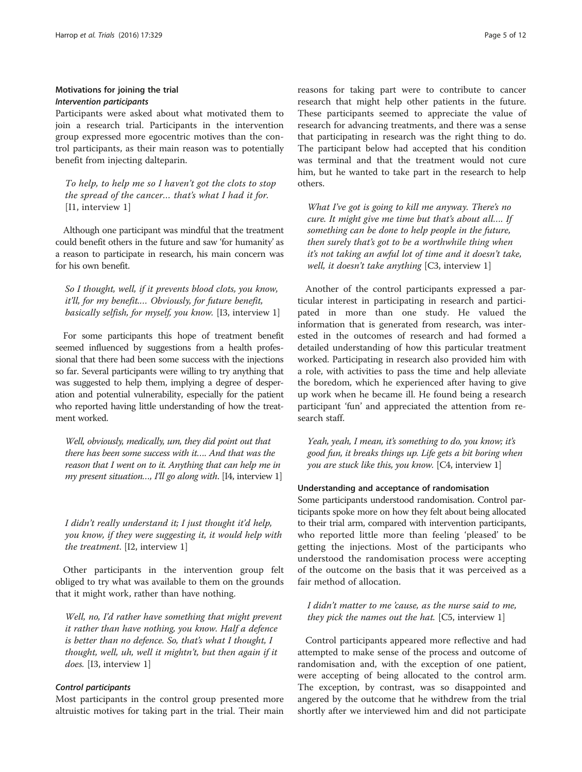#### Motivations for joining the trial Intervention participants

Participants were asked about what motivated them to join a research trial. Participants in the intervention group expressed more egocentric motives than the control participants, as their main reason was to potentially benefit from injecting dalteparin.

To help, to help me so I haven't got the clots to stop the spread of the cancer… that's what I had it for. [I1, interview 1]

Although one participant was mindful that the treatment could benefit others in the future and saw 'for humanity' as a reason to participate in research, his main concern was for his own benefit.

So I thought, well, if it prevents blood clots, you know, it'll, for my benefit.… Obviously, for future benefit, basically selfish, for myself, you know. [I3, interview 1]

For some participants this hope of treatment benefit seemed influenced by suggestions from a health professional that there had been some success with the injections so far. Several participants were willing to try anything that was suggested to help them, implying a degree of desperation and potential vulnerability, especially for the patient who reported having little understanding of how the treatment worked.

Well, obviously, medically, um, they did point out that there has been some success with it…. And that was the reason that I went on to it. Anything that can help me in my present situation..., I'll go along with. [14, interview 1]

I didn't really understand it; I just thought it'd help, you know, if they were suggesting it, it would help with the treatment. [I2, interview 1]

Other participants in the intervention group felt obliged to try what was available to them on the grounds that it might work, rather than have nothing.

Well, no, I'd rather have something that might prevent it rather than have nothing, you know. Half a defence is better than no defence. So, that's what I thought, I thought, well, uh, well it mightn't, but then again if it does. [I3, interview 1]

#### Control participants

Most participants in the control group presented more altruistic motives for taking part in the trial. Their main reasons for taking part were to contribute to cancer research that might help other patients in the future. These participants seemed to appreciate the value of research for advancing treatments, and there was a sense that participating in research was the right thing to do. The participant below had accepted that his condition was terminal and that the treatment would not cure him, but he wanted to take part in the research to help others.

What I've got is going to kill me anyway. There's no cure. It might give me time but that's about all…. If something can be done to help people in the future, then surely that's got to be a worthwhile thing when it's not taking an awful lot of time and it doesn't take, well, it doesn't take anything [C3, interview 1]

Another of the control participants expressed a particular interest in participating in research and participated in more than one study. He valued the information that is generated from research, was interested in the outcomes of research and had formed a detailed understanding of how this particular treatment worked. Participating in research also provided him with a role, with activities to pass the time and help alleviate the boredom, which he experienced after having to give up work when he became ill. He found being a research participant 'fun' and appreciated the attention from research staff.

Yeah, yeah, I mean, it's something to do, you know; it's good fun, it breaks things up. Life gets a bit boring when you are stuck like this, you know. [C4, interview 1]

#### Understanding and acceptance of randomisation

Some participants understood randomisation. Control participants spoke more on how they felt about being allocated to their trial arm, compared with intervention participants, who reported little more than feeling 'pleased' to be getting the injections. Most of the participants who understood the randomisation process were accepting of the outcome on the basis that it was perceived as a fair method of allocation.

I didn't matter to me 'cause, as the nurse said to me, they pick the names out the hat. [C5, interview 1]

Control participants appeared more reflective and had attempted to make sense of the process and outcome of randomisation and, with the exception of one patient, were accepting of being allocated to the control arm. The exception, by contrast, was so disappointed and angered by the outcome that he withdrew from the trial shortly after we interviewed him and did not participate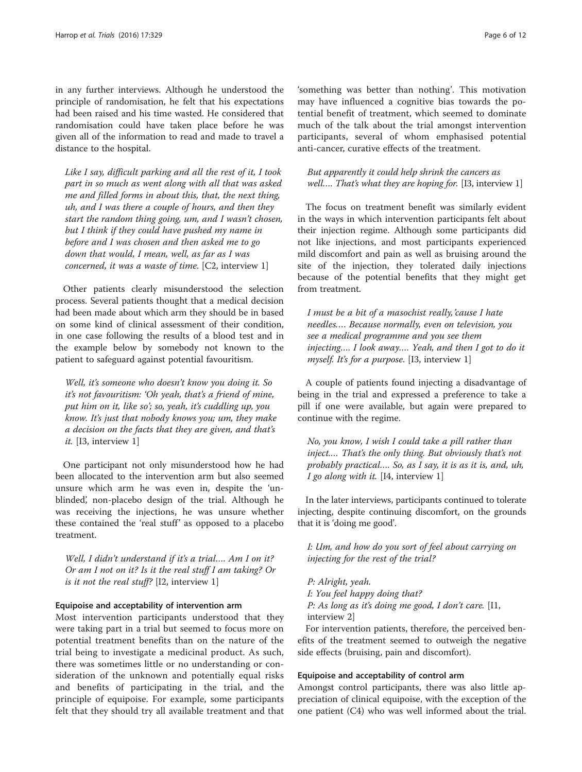in any further interviews. Although he understood the principle of randomisation, he felt that his expectations had been raised and his time wasted. He considered that randomisation could have taken place before he was given all of the information to read and made to travel a distance to the hospital.

Like I say, difficult parking and all the rest of it, I took part in so much as went along with all that was asked me and filled forms in about this, that, the next thing, uh, and I was there a couple of hours, and then they start the random thing going, um, and I wasn't chosen, but I think if they could have pushed my name in before and I was chosen and then asked me to go down that would, I mean, well, as far as I was concerned, it was a waste of time. [C2, interview 1]

Other patients clearly misunderstood the selection process. Several patients thought that a medical decision had been made about which arm they should be in based on some kind of clinical assessment of their condition, in one case following the results of a blood test and in the example below by somebody not known to the patient to safeguard against potential favouritism.

Well, it's someone who doesn't know you doing it. So it's not favouritism: 'Oh yeah, that's a friend of mine, put him on it, like so'; so, yeah, it's cuddling up, you know. It's just that nobody knows you; um, they make a decision on the facts that they are given, and that's it. [I3, interview 1]

One participant not only misunderstood how he had been allocated to the intervention arm but also seemed unsure which arm he was even in, despite the 'unblinded', non-placebo design of the trial. Although he was receiving the injections, he was unsure whether these contained the 'real stuff' as opposed to a placebo treatment.

Well, I didn't understand if it's a trial…. Am I on it? Or am I not on it? Is it the real stuff I am taking? Or is it not the real stuff? [I2, interview 1]

#### Equipoise and acceptability of intervention arm

Most intervention participants understood that they were taking part in a trial but seemed to focus more on potential treatment benefits than on the nature of the trial being to investigate a medicinal product. As such, there was sometimes little or no understanding or consideration of the unknown and potentially equal risks and benefits of participating in the trial, and the principle of equipoise. For example, some participants felt that they should try all available treatment and that

'something was better than nothing'. This motivation may have influenced a cognitive bias towards the potential benefit of treatment, which seemed to dominate much of the talk about the trial amongst intervention participants, several of whom emphasised potential anti-cancer, curative effects of the treatment.

#### But apparently it could help shrink the cancers as well.... That's what they are hoping for. [13, interview 1]

The focus on treatment benefit was similarly evident in the ways in which intervention participants felt about their injection regime. Although some participants did not like injections, and most participants experienced mild discomfort and pain as well as bruising around the site of the injection, they tolerated daily injections because of the potential benefits that they might get from treatment.

I must be a bit of a masochist really,'cause I hate needles.… Because normally, even on television, you see a medical programme and you see them injecting…. I look away…. Yeah, and then I got to do it myself. It's for a purpose. [13, interview 1]

A couple of patients found injecting a disadvantage of being in the trial and expressed a preference to take a pill if one were available, but again were prepared to continue with the regime.

No, you know, I wish I could take a pill rather than inject.… That's the only thing. But obviously that's not probably practical…. So, as I say, it is as it is, and, uh, I go along with it. [I4, interview 1]

In the later interviews, participants continued to tolerate injecting, despite continuing discomfort, on the grounds that it is 'doing me good'.

I: Um, and how do you sort of feel about carrying on injecting for the rest of the trial?

P: Alright, yeah. I: You feel happy doing that? P: As long as it's doing me good, I don't care. [I1, interview 2]

For intervention patients, therefore, the perceived benefits of the treatment seemed to outweigh the negative side effects (bruising, pain and discomfort).

#### Equipoise and acceptability of control arm

Amongst control participants, there was also little appreciation of clinical equipoise, with the exception of the one patient (C4) who was well informed about the trial.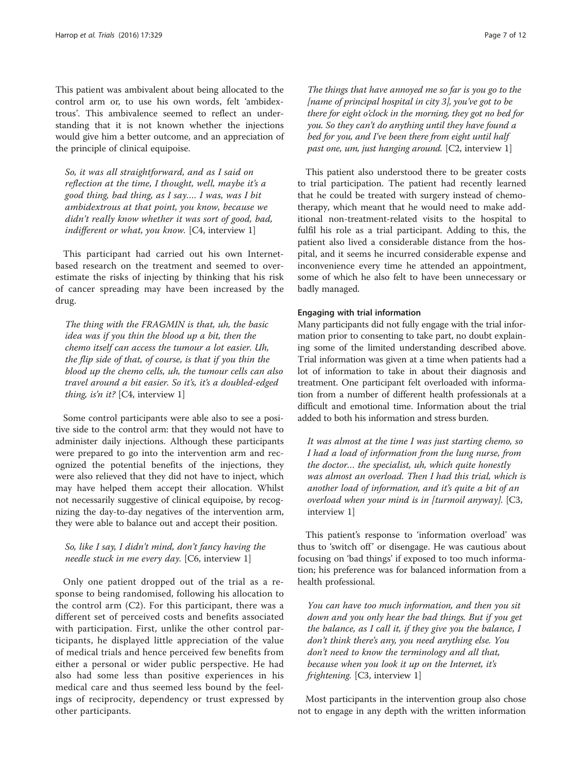This patient was ambivalent about being allocated to the control arm or, to use his own words, felt 'ambidextrous'. This ambivalence seemed to reflect an understanding that it is not known whether the injections would give him a better outcome, and an appreciation of the principle of clinical equipoise.

So, it was all straightforward, and as I said on reflection at the time, I thought, well, maybe it's a good thing, bad thing, as I say…. I was, was I bit ambidextrous at that point, you know, because we didn't really know whether it was sort of good, bad, indifferent or what, you know. [C4, interview 1]

This participant had carried out his own Internetbased research on the treatment and seemed to overestimate the risks of injecting by thinking that his risk of cancer spreading may have been increased by the drug.

The thing with the FRAGMIN is that, uh, the basic idea was if you thin the blood up a bit, then the chemo itself can access the tumour a lot easier. Uh, the flip side of that, of course, is that if you thin the blood up the chemo cells, uh, the tumour cells can also travel around a bit easier. So it's, it's a doubled-edged thing, is'n it?  $[C4,$  interview 1]

Some control participants were able also to see a positive side to the control arm: that they would not have to administer daily injections. Although these participants were prepared to go into the intervention arm and recognized the potential benefits of the injections, they were also relieved that they did not have to inject, which may have helped them accept their allocation. Whilst not necessarily suggestive of clinical equipoise, by recognizing the day-to-day negatives of the intervention arm, they were able to balance out and accept their position.

### So, like I say, I didn't mind, don't fancy having the needle stuck in me every day. [C6, interview 1]

Only one patient dropped out of the trial as a response to being randomised, following his allocation to the control arm (C2). For this participant, there was a different set of perceived costs and benefits associated with participation. First, unlike the other control participants, he displayed little appreciation of the value of medical trials and hence perceived few benefits from either a personal or wider public perspective. He had also had some less than positive experiences in his medical care and thus seemed less bound by the feelings of reciprocity, dependency or trust expressed by other participants.

The things that have annoyed me so far is you go to the [name of principal hospital in city 3], you've got to be there for eight o'clock in the morning, they got no bed for you. So they can't do anything until they have found a bed for you, and I've been there from eight until half past one, um, just hanging around. [C2, interview 1]

This patient also understood there to be greater costs to trial participation. The patient had recently learned that he could be treated with surgery instead of chemotherapy, which meant that he would need to make additional non-treatment-related visits to the hospital to fulfil his role as a trial participant. Adding to this, the patient also lived a considerable distance from the hospital, and it seems he incurred considerable expense and inconvenience every time he attended an appointment, some of which he also felt to have been unnecessary or badly managed.

#### Engaging with trial information

Many participants did not fully engage with the trial information prior to consenting to take part, no doubt explaining some of the limited understanding described above. Trial information was given at a time when patients had a lot of information to take in about their diagnosis and treatment. One participant felt overloaded with information from a number of different health professionals at a difficult and emotional time. Information about the trial added to both his information and stress burden.

It was almost at the time I was just starting chemo, so I had a load of information from the lung nurse, from the doctor… the specialist, uh, which quite honestly was almost an overload. Then I had this trial, which is another load of information, and it's quite a bit of an overload when your mind is in [turmoil anyway]. [C3, interview 1]

This patient's response to 'information overload' was thus to 'switch off' or disengage. He was cautious about focusing on 'bad things' if exposed to too much information; his preference was for balanced information from a health professional.

You can have too much information, and then you sit down and you only hear the bad things. But if you get the balance, as I call it, if they give you the balance, I don't think there's any, you need anything else. You don't need to know the terminology and all that, because when you look it up on the Internet, it's frightening. [C3, interview 1]

Most participants in the intervention group also chose not to engage in any depth with the written information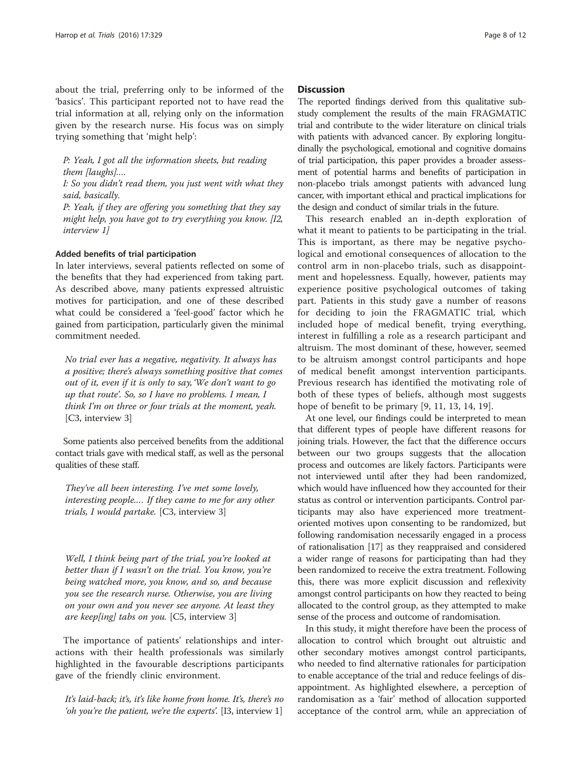about the trial, preferring only to be informed of the 'basics'. This participant reported not to have read the trial information at all, relying only on the information given by the research nurse. His focus was on simply trying something that 'might help':

P: Yeah, I got all the information sheets, but reading them [laughs]….

I: So you didn't read them, you just went with what they said, basically.

P: Yeah, if they are offering you something that they say might help, you have got to try everything you know. [I2, interview 1]

#### Added benefits of trial participation

In later interviews, several patients reflected on some of the benefits that they had experienced from taking part. As described above, many patients expressed altruistic motives for participation, and one of these described what could be considered a 'feel-good' factor which he gained from participation, particularly given the minimal commitment needed.

No trial ever has a negative, negativity. It always has a positive; there's always something positive that comes out of it, even if it is only to say, 'We don't want to go up that route'. So, so I have no problems. I mean, I think I'm on three or four trials at the moment, yeah. [C3, interview 3]

Some patients also perceived benefits from the additional contact trials gave with medical staff, as well as the personal qualities of these staff.

They've all been interesting. I've met some lovely, interesting people.… If they came to me for any other trials, I would partake. [C3, interview 3]

Well, I think being part of the trial, you're looked at better than if I wasn't on the trial. You know, you're being watched more, you know, and so, and because you see the research nurse. Otherwise, you are living on your own and you never see anyone. At least they are keep[ing] tabs on you.  $[C5,$  interview 3]

The importance of patients' relationships and interactions with their health professionals was similarly highlighted in the favourable descriptions participants gave of the friendly clinic environment.

It's laid-back; it's, it's like home from home. It's, there's no 'oh you're the patient, we're the experts'. [I3, interview 1]

#### **Discussion**

The reported findings derived from this qualitative substudy complement the results of the main FRAGMATIC trial and contribute to the wider literature on clinical trials with patients with advanced cancer. By exploring longitudinally the psychological, emotional and cognitive domains of trial participation, this paper provides a broader assessment of potential harms and benefits of participation in non-placebo trials amongst patients with advanced lung cancer, with important ethical and practical implications for the design and conduct of similar trials in the future.

This research enabled an in-depth exploration of what it meant to patients to be participating in the trial. This is important, as there may be negative psychological and emotional consequences of allocation to the control arm in non-placebo trials, such as disappointment and hopelessness. Equally, however, patients may experience positive psychological outcomes of taking part. Patients in this study gave a number of reasons for deciding to join the FRAGMATIC trial, which included hope of medical benefit, trying everything, interest in fulfilling a role as a research participant and altruism. The most dominant of these, however, seemed to be altruism amongst control participants and hope of medical benefit amongst intervention participants. Previous research has identified the motivating role of both of these types of beliefs, although most suggests hope of benefit to be primary [[9, 11](#page-10-0), [13](#page-10-0), [14](#page-10-0), [19\]](#page-10-0).

At one level, our findings could be interpreted to mean that different types of people have different reasons for joining trials. However, the fact that the difference occurs between our two groups suggests that the allocation process and outcomes are likely factors. Participants were not interviewed until after they had been randomized, which would have influenced how they accounted for their status as control or intervention participants. Control participants may also have experienced more treatmentoriented motives upon consenting to be randomized, but following randomisation necessarily engaged in a process of rationalisation [\[17](#page-10-0)] as they reappraised and considered a wider range of reasons for participating than had they been randomized to receive the extra treatment. Following this, there was more explicit discussion and reflexivity amongst control participants on how they reacted to being allocated to the control group, as they attempted to make sense of the process and outcome of randomisation.

In this study, it might therefore have been the process of allocation to control which brought out altruistic and other secondary motives amongst control participants, who needed to find alternative rationales for participation to enable acceptance of the trial and reduce feelings of disappointment. As highlighted elsewhere, a perception of randomisation as a 'fair' method of allocation supported acceptance of the control arm, while an appreciation of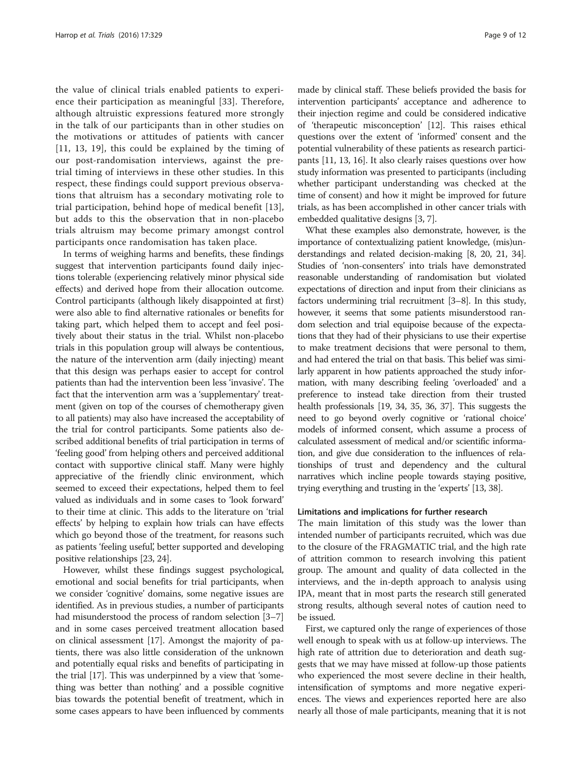the value of clinical trials enabled patients to experience their participation as meaningful [\[33](#page-10-0)]. Therefore, although altruistic expressions featured more strongly in the talk of our participants than in other studies on the motivations or attitudes of patients with cancer [[11](#page-10-0), [13, 19](#page-10-0)], this could be explained by the timing of our post-randomisation interviews, against the pretrial timing of interviews in these other studies. In this respect, these findings could support previous observations that altruism has a secondary motivating role to trial participation, behind hope of medical benefit [[13](#page-10-0)], but adds to this the observation that in non-placebo trials altruism may become primary amongst control participants once randomisation has taken place.

In terms of weighing harms and benefits, these findings suggest that intervention participants found daily injections tolerable (experiencing relatively minor physical side effects) and derived hope from their allocation outcome. Control participants (although likely disappointed at first) were also able to find alternative rationales or benefits for taking part, which helped them to accept and feel positively about their status in the trial. Whilst non-placebo trials in this population group will always be contentious, the nature of the intervention arm (daily injecting) meant that this design was perhaps easier to accept for control patients than had the intervention been less 'invasive'. The fact that the intervention arm was a 'supplementary' treatment (given on top of the courses of chemotherapy given to all patients) may also have increased the acceptability of the trial for control participants. Some patients also described additional benefits of trial participation in terms of 'feeling good' from helping others and perceived additional contact with supportive clinical staff. Many were highly appreciative of the friendly clinic environment, which seemed to exceed their expectations, helped them to feel valued as individuals and in some cases to 'look forward' to their time at clinic. This adds to the literature on 'trial effects' by helping to explain how trials can have effects which go beyond those of the treatment, for reasons such as patients 'feeling useful', better supported and developing positive relationships [\[23](#page-10-0), [24](#page-10-0)].

However, whilst these findings suggest psychological, emotional and social benefits for trial participants, when we consider 'cognitive' domains, some negative issues are identified. As in previous studies, a number of participants had misunderstood the process of random selection [[3](#page-10-0)–[7](#page-10-0)] and in some cases perceived treatment allocation based on clinical assessment [[17](#page-10-0)]. Amongst the majority of patients, there was also little consideration of the unknown and potentially equal risks and benefits of participating in the trial [\[17\]](#page-10-0). This was underpinned by a view that 'something was better than nothing' and a possible cognitive bias towards the potential benefit of treatment, which in some cases appears to have been influenced by comments

made by clinical staff. These beliefs provided the basis for intervention participants' acceptance and adherence to their injection regime and could be considered indicative of 'therapeutic misconception' [[12](#page-10-0)]. This raises ethical questions over the extent of 'informed' consent and the potential vulnerability of these patients as research participants [\[11, 13, 16](#page-10-0)]. It also clearly raises questions over how study information was presented to participants (including whether participant understanding was checked at the time of consent) and how it might be improved for future trials, as has been accomplished in other cancer trials with embedded qualitative designs [[3](#page-10-0), [7](#page-10-0)].

What these examples also demonstrate, however, is the importance of contextualizing patient knowledge, (mis)understandings and related decision-making [[8, 20, 21](#page-10-0), [34](#page-10-0)]. Studies of 'non-consenters' into trials have demonstrated reasonable understanding of randomisation but violated expectations of direction and input from their clinicians as factors undermining trial recruitment [[3](#page-10-0)–[8\]](#page-10-0). In this study, however, it seems that some patients misunderstood random selection and trial equipoise because of the expectations that they had of their physicians to use their expertise to make treatment decisions that were personal to them, and had entered the trial on that basis. This belief was similarly apparent in how patients approached the study information, with many describing feeling 'overloaded' and a preference to instead take direction from their trusted health professionals [[19](#page-10-0), [34](#page-10-0), [35,](#page-10-0) [36, 37](#page-11-0)]. This suggests the need to go beyond overly cognitive or 'rational choice' models of informed consent, which assume a process of calculated assessment of medical and/or scientific information, and give due consideration to the influences of relationships of trust and dependency and the cultural narratives which incline people towards staying positive, trying everything and trusting in the 'experts' [\[13,](#page-10-0) [38\]](#page-11-0).

#### Limitations and implications for further research

The main limitation of this study was the lower than intended number of participants recruited, which was due to the closure of the FRAGMATIC trial, and the high rate of attrition common to research involving this patient group. The amount and quality of data collected in the interviews, and the in-depth approach to analysis using IPA, meant that in most parts the research still generated strong results, although several notes of caution need to be issued.

First, we captured only the range of experiences of those well enough to speak with us at follow-up interviews. The high rate of attrition due to deterioration and death suggests that we may have missed at follow-up those patients who experienced the most severe decline in their health, intensification of symptoms and more negative experiences. The views and experiences reported here are also nearly all those of male participants, meaning that it is not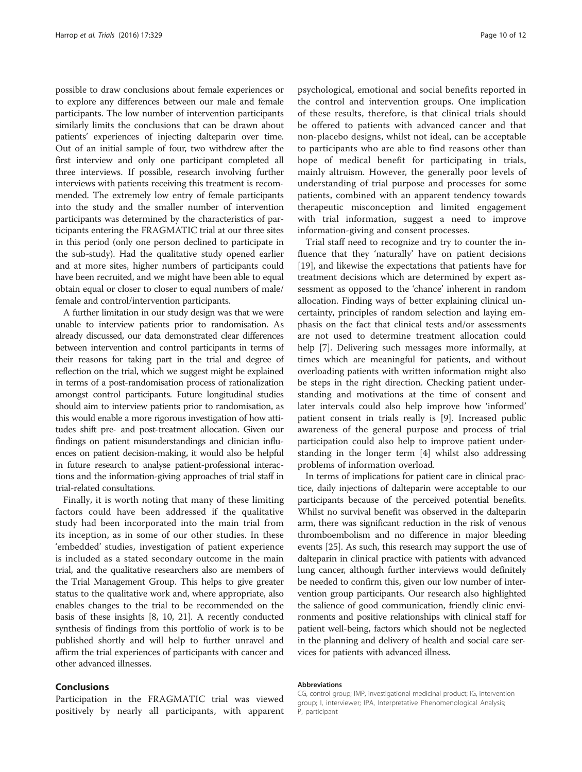possible to draw conclusions about female experiences or to explore any differences between our male and female participants. The low number of intervention participants similarly limits the conclusions that can be drawn about patients' experiences of injecting dalteparin over time. Out of an initial sample of four, two withdrew after the first interview and only one participant completed all three interviews. If possible, research involving further interviews with patients receiving this treatment is recommended. The extremely low entry of female participants into the study and the smaller number of intervention participants was determined by the characteristics of participants entering the FRAGMATIC trial at our three sites in this period (only one person declined to participate in the sub-study). Had the qualitative study opened earlier and at more sites, higher numbers of participants could have been recruited, and we might have been able to equal obtain equal or closer to closer to equal numbers of male/ female and control/intervention participants.

A further limitation in our study design was that we were unable to interview patients prior to randomisation. As already discussed, our data demonstrated clear differences between intervention and control participants in terms of their reasons for taking part in the trial and degree of reflection on the trial, which we suggest might be explained in terms of a post-randomisation process of rationalization amongst control participants. Future longitudinal studies should aim to interview patients prior to randomisation, as this would enable a more rigorous investigation of how attitudes shift pre- and post-treatment allocation. Given our findings on patient misunderstandings and clinician influences on patient decision-making, it would also be helpful in future research to analyse patient-professional interactions and the information-giving approaches of trial staff in trial-related consultations.

Finally, it is worth noting that many of these limiting factors could have been addressed if the qualitative study had been incorporated into the main trial from its inception, as in some of our other studies. In these 'embedded' studies, investigation of patient experience is included as a stated secondary outcome in the main trial, and the qualitative researchers also are members of the Trial Management Group. This helps to give greater status to the qualitative work and, where appropriate, also enables changes to the trial to be recommended on the basis of these insights [\[8](#page-10-0), [10](#page-10-0), [21](#page-10-0)]. A recently conducted synthesis of findings from this portfolio of work is to be published shortly and will help to further unravel and affirm the trial experiences of participants with cancer and other advanced illnesses.

#### Conclusions

Participation in the FRAGMATIC trial was viewed positively by nearly all participants, with apparent

psychological, emotional and social benefits reported in the control and intervention groups. One implication of these results, therefore, is that clinical trials should be offered to patients with advanced cancer and that non-placebo designs, whilst not ideal, can be acceptable to participants who are able to find reasons other than hope of medical benefit for participating in trials, mainly altruism. However, the generally poor levels of understanding of trial purpose and processes for some patients, combined with an apparent tendency towards therapeutic misconception and limited engagement with trial information, suggest a need to improve information-giving and consent processes.

Trial staff need to recognize and try to counter the influence that they 'naturally' have on patient decisions [[19\]](#page-10-0), and likewise the expectations that patients have for treatment decisions which are determined by expert assessment as opposed to the 'chance' inherent in random allocation. Finding ways of better explaining clinical uncertainty, principles of random selection and laying emphasis on the fact that clinical tests and/or assessments are not used to determine treatment allocation could help [[7\]](#page-10-0). Delivering such messages more informally, at times which are meaningful for patients, and without overloading patients with written information might also be steps in the right direction. Checking patient understanding and motivations at the time of consent and later intervals could also help improve how 'informed' patient consent in trials really is [\[9](#page-10-0)]. Increased public awareness of the general purpose and process of trial participation could also help to improve patient understanding in the longer term [[4\]](#page-10-0) whilst also addressing problems of information overload.

In terms of implications for patient care in clinical practice, daily injections of dalteparin were acceptable to our participants because of the perceived potential benefits. Whilst no survival benefit was observed in the dalteparin arm, there was significant reduction in the risk of venous thromboembolism and no difference in major bleeding events [\[25\]](#page-10-0). As such, this research may support the use of dalteparin in clinical practice with patients with advanced lung cancer, although further interviews would definitely be needed to confirm this, given our low number of intervention group participants. Our research also highlighted the salience of good communication, friendly clinic environments and positive relationships with clinical staff for patient well-being, factors which should not be neglected in the planning and delivery of health and social care services for patients with advanced illness.

#### Abbreviations

CG, control group; IMP, investigational medicinal product; IG, intervention group; I, interviewer; IPA, Interpretative Phenomenological Analysis; P, participant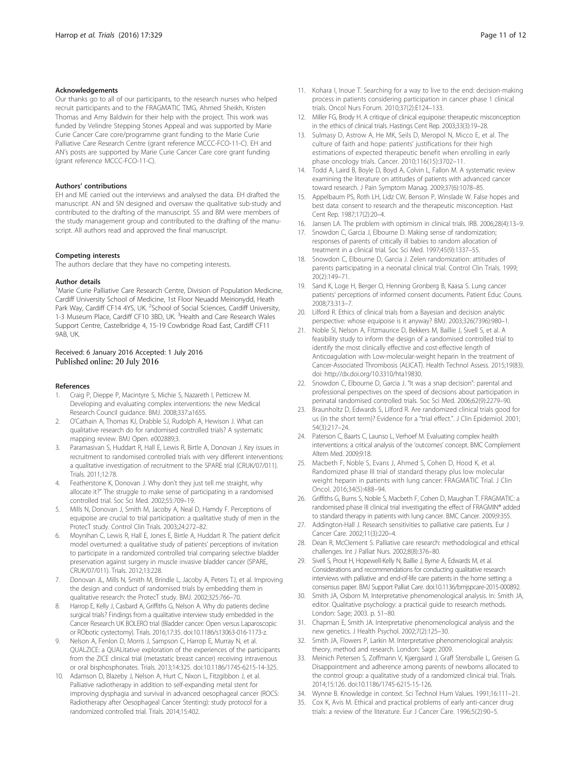#### <span id="page-10-0"></span>Acknowledgements

Our thanks go to all of our participants, to the research nurses who helped recruit participants and to the FRAGMATIC TMG, Ahmed Sheikh, Kristen Thomas and Amy Baldwin for their help with the project. This work was funded by Velindre Stepping Stones Appeal and was supported by Marie Curie Cancer Care core/programme grant funding to the Marie Curie Palliative Care Research Centre (grant reference MCCC-FCO-11-C). EH and AN's posts are supported by Marie Curie Cancer Care core grant funding (grant reference MCCC-FCO-11-C).

#### Authors' contributions

EH and ME carried out the interviews and analysed the data. EH drafted the manuscript. AN and SN designed and oversaw the qualitative sub-study and contributed to the drafting of the manuscript. SS and BM were members of the study management group and contributed to the drafting of the manuscript. All authors read and approved the final manuscript.

#### Competing interests

The authors declare that they have no competing interests.

#### Author details

<sup>1</sup>Marie Curie Palliative Care Research Centre, Division of Population Medicine, Cardiff University School of Medicine, 1st Floor Neuadd Meirionydd, Heath Park Way, Cardiff CF14 4YS, UK. <sup>2</sup>School of Social Sciences, Cardiff University, 1-3 Museum Place, Cardiff CF10 3BD, UK. <sup>3</sup> Health and Care Research Wales Support Centre, Castelbridge 4, 15-19 Cowbridge Road East, Cardiff CF11 9AB, UK.

# Received: 6 January 2016 Accepted: 1 July 2016<br>Published online: 20 July 2016

#### References

- 1. Craig P, Dieppe P, Macintyre S, Michie S, Nazareth I, Petticrew M. Developing and evaluating complex interventions: the new Medical Research Council guidance. BMJ. 2008;337:a1655.
- 2. O'Cathain A, Thomas KJ, Drabble SJ, Rudolph A, Hewison J. What can qualitative research do for randomised controlled trials? A systematic mapping review. BMJ Open. e002889;3.
- Paramasivan S, Huddart R, Hall E, Lewis R, Birtle A, Donovan J. Key issues in recruitment to randomised controlled trials with very different interventions: a qualitative investigation of recruitment to the SPARE trial (CRUK/07/011). Trials. 2011;12:78.
- 4. Featherstone K, Donovan J. Why don't they just tell me straight, why allocate it?" The struggle to make sense of participating in a randomised controlled trial. Soc Sci Med. 2002;55:709–19.
- 5. Mills N, Donovan J, Smith M, Jacoby A, Neal D, Hamdy F. Perceptions of equipoise are crucial to trial participation: a qualitative study of men in the ProtecT study. Control Clin Trials. 2003;24:272–82.
- 6. Moynihan C, Lewis R, Hall E, Jones E, Birtle A, Huddart R. The patient deficit model overturned: a qualitative study of patients' perceptions of invitation to participate in a randomized controlled trial comparing selective bladder preservation against surgery in muscle invasive bladder cancer (SPARE, CRUK/07/011). Trials. 2012;13:228.
- 7. Donovan JL, Mills N, Smith M, Brindle L, Jacoby A, Peters TJ, et al. Improving the design and conduct of randomised trials by embedding them in qualitative research: the ProtecT study. BMJ. 2002;325:766–70.
- Harrop E, Kelly J, Casbard A, Griffiths G, Nelson A. Why do patients decline surgical trials? Findings from a qualitative interview study embedded in the Cancer Research UK BOLERO trial (Bladder cancer: Open versus Laparoscopic or RObotic cystectomy). Trials. 2016;17:35. doi:[10.1186/s13063-016-1173-z](http://dx.doi.org/10.1186/s13063-016-1173-z).
- 9. Nelson A, Fenlon D, Morris J, Sampson C, Harrop E, Murray N, et al. QUALZICE: a QUALitative exploration of the experiences of the participants from the ZICE clinical trial (metastatic breast cancer) receiving intravenous or oral bisphosphonates. Trials. 2013;14:325. doi[:10.1186/1745-6215-14-325](http://dx.doi.org/10.1186/1745-6215-14-325).
- 10. Adamson D, Blazeby J, Nelson A, Hurt C, Nixon L, Fitzgibbon J, et al. Palliative radiotherapy in addition to self-expanding metal stent for improving dysphagia and survival in advanced oesophageal cancer (ROCS: Radiotherapy after Oesophageal Cancer Stenting): study protocol for a randomized controlled trial. Trials. 2014;15:402.
- 11. Kohara I, Inoue T. Searching for a way to live to the end: decision-making process in patients considering participation in cancer phase 1 clinical trials. Oncol Nurs Forum. 2010;37(2):E124–133.
- 12. Miller FG, Brody H. A critique of clinical equipoise: therapeutic misconception in the ethics of clinical trials. Hastings Cent Rep. 2003;33(3):19–28.
- 13. Sulmasy D, Astrow A, He MK, Seils D, Meropol N, Micco E, et al. The culture of faith and hope: patients' justifications for their high estimations of expected therapeutic benefit when enrolling in early phase oncology trials. Cancer. 2010;116(15):3702–11.
- 14. Todd A, Laird B, Boyle D, Boyd A, Colvin L, Fallon M. A systematic review examining the literature on attitudes of patients with advanced cancer toward research. J Pain Symptom Manag. 2009;37(6):1078–85.
- 15. Appelbaum PS, Roth LH, Lidz CW, Benson P, Winslade W. False hopes and best data: consent to research and the therapeutic misconception. Hast Cent Rep. 1987;17(2):20–4.
- 16. Jansen LA. The problem with optimism in clinical trials. IRB. 2006;28(4):13–9.
- 17. Snowdon C, Garcia J, Elbourne D. Making sense of randomization; responses of parents of critically ill babies to random allocation of treatment in a clinical trial. Soc Sci Med. 1997;45(9):1337–55.
- 18. Snowdon C, Elbourne D, Garcia J. Zelen randomization: attitudes of parents participating in a neonatal clinical trial. Control Clin Trials. 1999; 20(2):149–71.
- 19. Sand K, Loge H, Berger O, Henning Gronberg B, Kaasa S. Lung cancer patients' perceptions of informed consent documents. Patient Educ Couns. 2008;73:313–7.
- 20. Lilford R. Ethics of clinical trials from a Bayesian and decision analytic perspective: whose equipoise is it anyway? BMJ. 2003;326(7396):980–1.
- 21. Noble SI, Nelson A, Fitzmaurice D, Bekkers M, Baillie J, Sivell S, et al. A feasibility study to inform the design of a randomised controlled trial to identify the most clinically effective and cost-effective length of Anticoagulation with Low-molecular-weight heparin In the treatment of Cancer-Associated Thrombosis (ALICAT). Health Technol Assess. 2015;19(83). doi:<http://dx.doi.org/10.3310/hta19830>.
- 22. Snowdon C, Elbourne D, Garcia J. "It was a snap decision": parental and professional perspectives on the speed of decisions about participation in perinatal randomised controlled trials. Soc Sci Med. 2006;62(9):2279–90.
- 23. Braunholtz D, Edwards S, Lilford R. Are randomized clinical trials good for us (in the short term)? Evidence for a "trial effect.". J Clin Epidemiol. 2001; 54(3):217–24.
- 24. Paterson C, Baarts C, Launso L, Verhoef M. Evaluating complex health interventions: a critical analysis of the 'outcomes' concept. BMC Complement Altern Med. 2009;9:18.
- Macbeth F, Noble S, Evans J, Ahmed S, Cohen D, Hood K, et al. Randomized phase III trial of standard therapy plus low molecular weight heparin in patients with lung cancer: FRAGMATIC Trial. J Clin Oncol. 2016;34(5):488–94.
- 26. Griffiths G, Burns S, Noble S, Macbeth F, Cohen D, Maughan T. FRAGMATIC: a randomised phase III clinical trial investigating the effect of FRAGMIN® added to standard therapy in patients with lung cancer. BMC Cancer. 2009;9:355.
- 27. Addington-Hall J. Research sensitivities to palliative care patients. Eur J Cancer Care. 2002;11(3):220–4.
- 28. Dean R, McClement S. Palliative care research: methodological and ethical challenges. Int J Palliat Nurs. 2002;8(8):376–80.
- 29. Sivell S, Prout H, Hopewell-Kelly N, Baillie J, Byrne A, Edwards M, et al. Considerations and recommendations for conducting qualitative research interviews with palliative and end-of-life care patients in the home setting: a consensus paper. BMJ Support Palliat Care. doi[:10.1136/bmjspcare-2015-000892.](http://dx.doi.org/10.1136/bmjspcare-2015-000892)
- 30. Smith JA, Osborn M. Interpretative phenomenological analysis. In: Smith JA, editor. Qualitative psychology: a practical guide to research methods. London: Sage; 2003. p. 51–80.
- 31. Chapman E, Smith JA. Interpretative phenomenological analysis and the new genetics. J Health Psychol. 2002;7(2):125–30.
- 32. Smith JA, Flowers P, Larkin M. Interpretative phenomenological analysis: theory, method and research. London: Sage; 2009.
- 33. Meinich Petersen S, Zoffmann V, Kjærgaard J, Graff Stensballe L, Greisen G. Disappointment and adherence among parents of newborns allocated to the control group: a qualitative study of a randomized clinical trial. Trials. 2014;15:126. doi[:10.1186/1745-6215-15-126](http://dx.doi.org/10.1186/1745-6215-15-126).
- 34. Wynne B. Knowledge in context. Sci Technol Hum Values. 1991;16:111–21.
- 35. Cox K, Avis M. Ethical and practical problems of early anti-cancer drug trials: a review of the literature. Eur J Cancer Care. 1996;5(2):90–5.